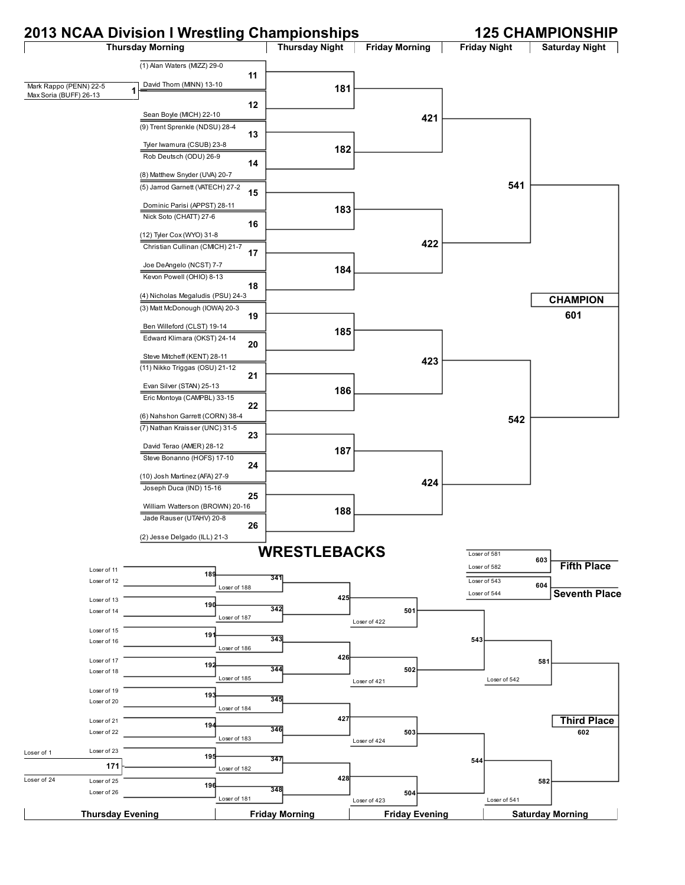# **2013 NCAA Division I Wrestling Championships 125 CHAMPIONSHIP**

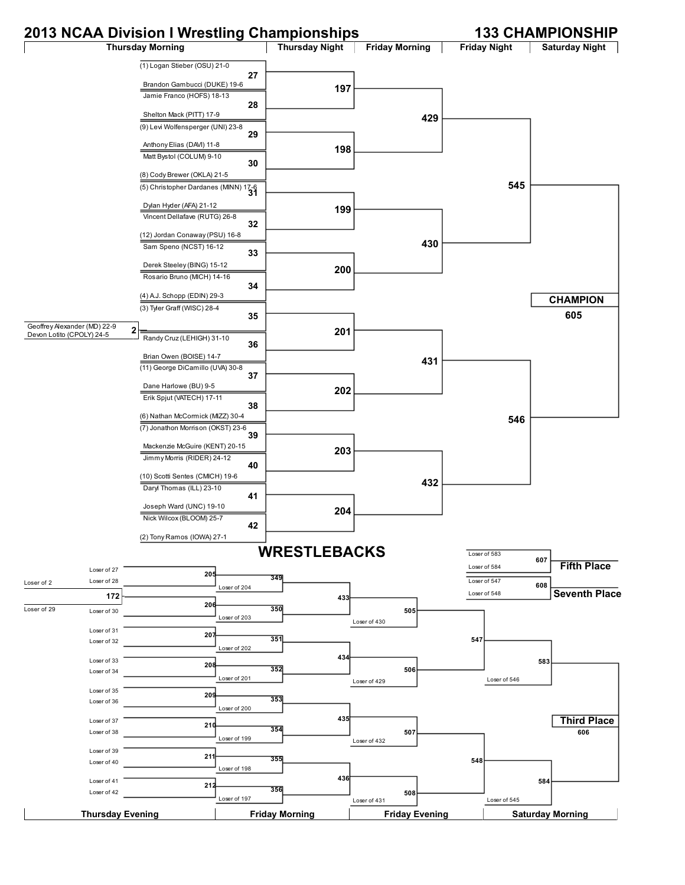### **2013 NCAA Division I Wrestling Championships 133 CHAMPIONSHIP**

#### **Thursday Morning Thursday Night | Friday Morning | Friday Night | Saturday Night** (1) Logan Stieber (OSU) 21-0 **27** Brandon Gambucci (DUKE) 19-6 Jamie Franco (HOFS) 18-13 **28** Shelton Mack (PITT) 17-9 (9) Levi Wolfensperger (UNI) 23-8 **29** Anthony Elias (DAVI) 11-8 Matt Bystol (COLUM) 9-10 **30** (8) Cody Brewer (OKLA) 21-5 (5) Christopher Dardanes (MINN) 17-6 **<sup>31</sup>** Dylan Hyder (AFA) 21-12 Vincent Dellafave (RUTG) 26-8 **32** (12) Jordan Conaway (PSU) 16-8 Sam Speno (NCST) 16-12 **33** Derek Steeley (BING) 15-12 Rosario Bruno (MICH) 14-16 **34** (4) A.J. Schopp (EDIN) 29-3 (3) Tyler Graff (WISC) 28-4 **35** Randy Cruz (LEHIGH) 31-10 **36** Brian Owen (BOISE) 14-7 (11) George DiCamillo (UVA) 30-8 **37** Dane Harlowe (BU) 9-5 Erik Spjut (VATECH) 17-11 **38** (6) Nathan McCormick (MIZZ) 30-4 (7) Jonathon Morrison (OKST) 23-6 **39** Mackenzie McGuire (KENT) 20-15 Jimmy Morris (RIDER) 24-12 **40** (10) Scotti Sentes (CMICH) 19-6 Daryl Thomas (ILL) 23-10 **41** Joseph Ward (UNC) 19-10 Nick Wilcox (BLOOM) 25-7 **42** (2) Tony Ramos (IOWA) 27-1 **197 198 199 200 201 202 203 204 429 430 431 432 545 546 605 205** Loser of 27 Loser of 28 **206** Loser of 30 **207** Loser of 31 Loser of 32 **208** Loser of 33 Loser of 34 **209** Loser of 35 Loser of 36 **210** Loser of 37 Loser of 38 **211** Loser of 39 Loser of 40 **212** Loser of 41 Loser of 42 **349** Loser of 204 **350** Loser of 203 **351** Loser of 202 **352** Loser of 201 **353** Loser of 200 **354** Loser of 199 **355** Loser of 198 **356** Loser of 197 **433 434 435 436 505** Loser of 430 **506** Loser of 429 **507** Loser of 432 **508** Loser of 431 **547 548 583** Loser of 546 **584** Loser of 545 **606** Loser of 583 **607** Loser of 584 Loser of 547 **<sup>608</sup>** Loser of 548 **WRESTLEBACKS Thursday Evening Friday Morning Friday Evening Saturday Morning CHAMPION Third Place Fifth Place Seventh Place** Geoffrey Alexander (MD) 22-9 Geoffrey Alexander (MD) 22-9<br>Devon Lotito (CPOLY) 24-5 **172** Loser of 2 Loser of 29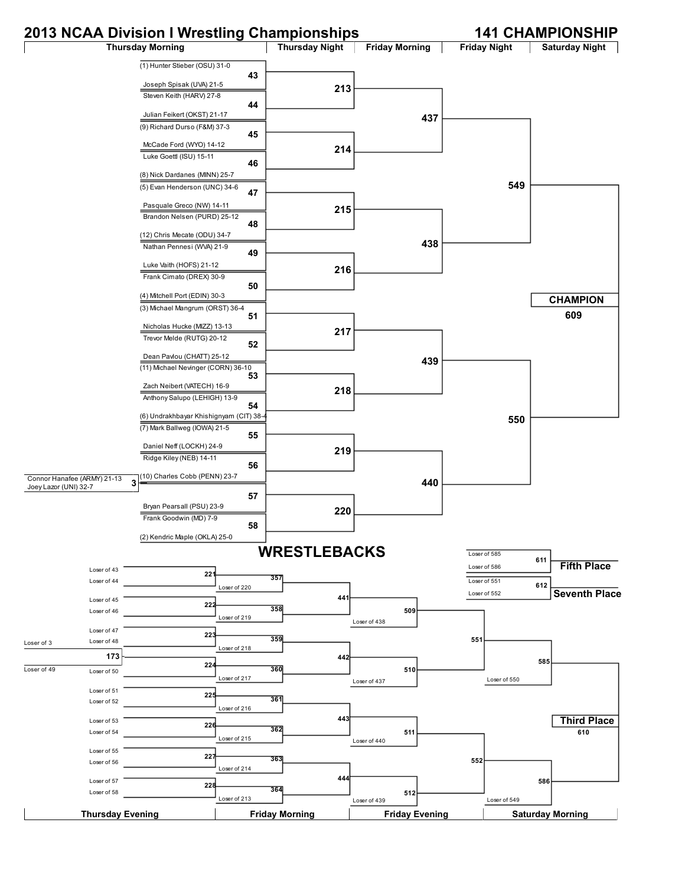### **2013 NCAA Division I Wrestling Championships 141 CHAMPIONSHIP**

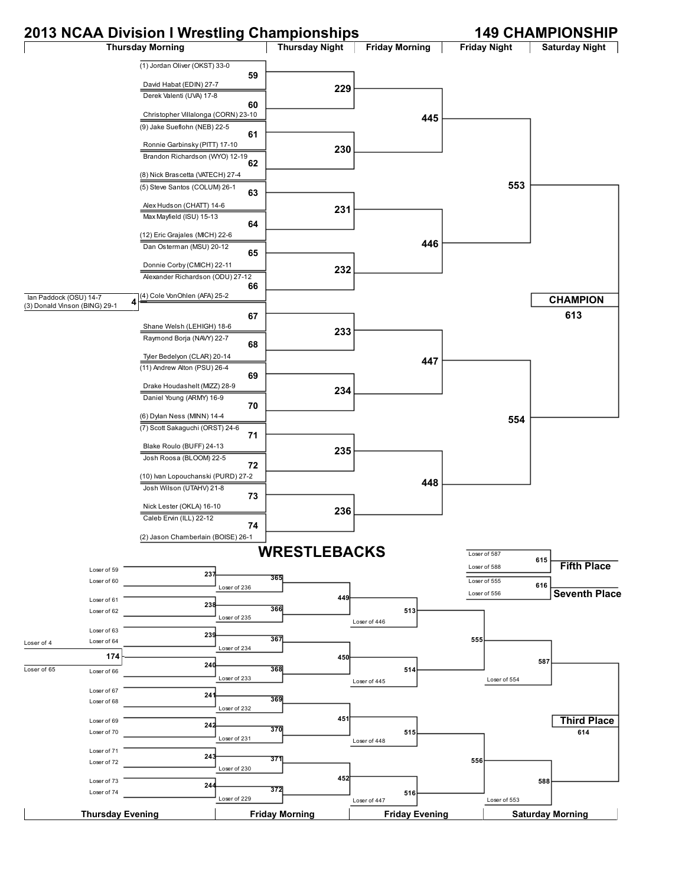## **2013 NCAA Division I Wrestling Championships 149 CHAMPIONSHIP**

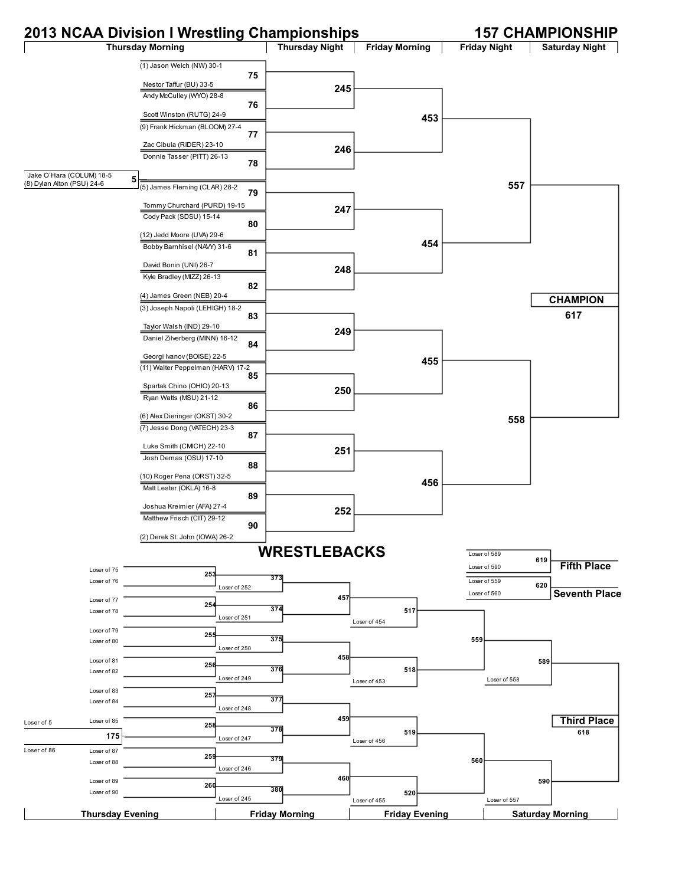## **2013 NCAA Division I Wrestling Championships 157 CHAMPIONSHIP**

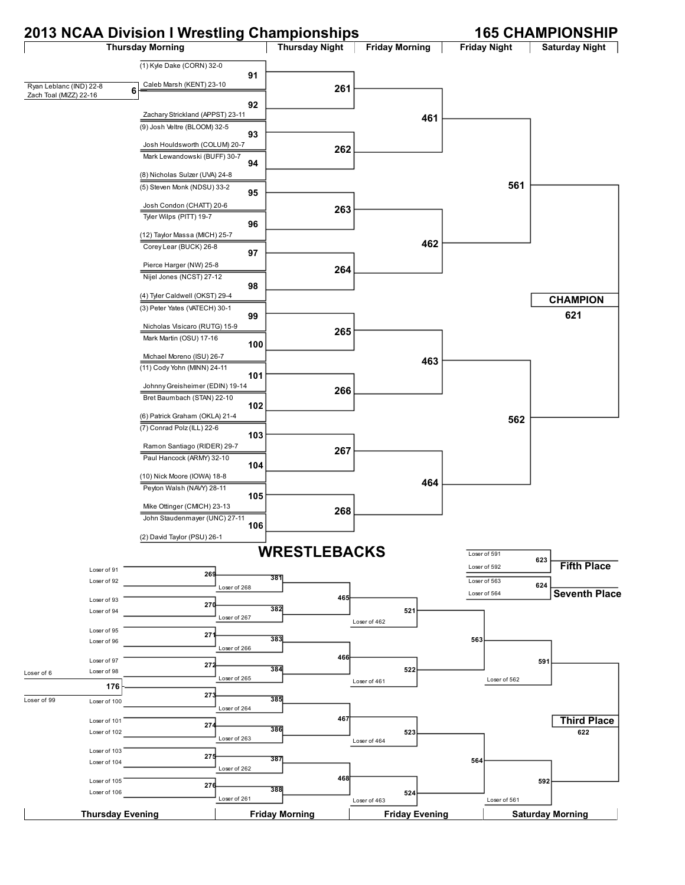# **2013 NCAA Division I Wrestling Championships 165 CHAMPIONSHIP**

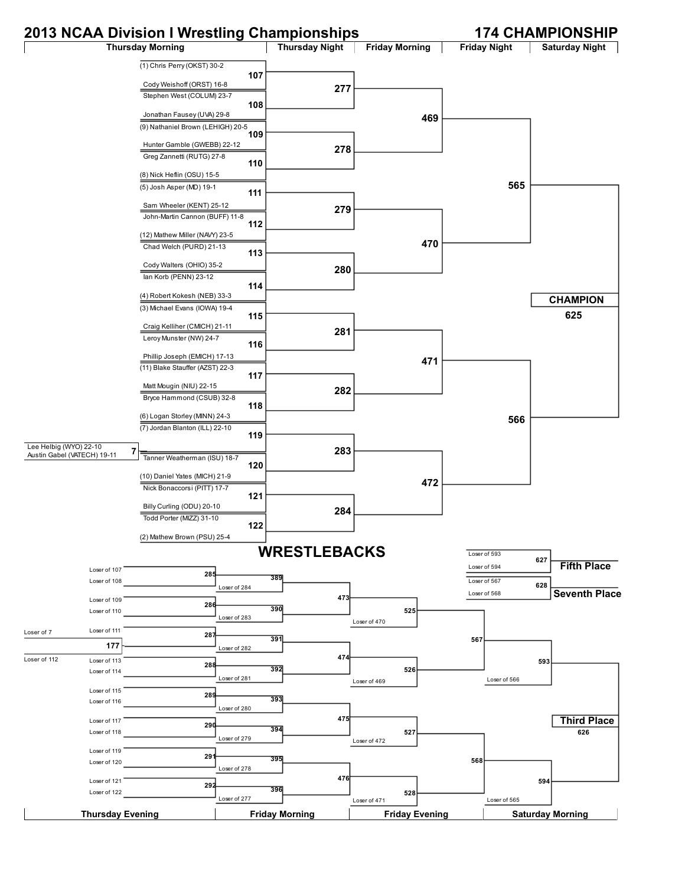## **2013 NCAA Division I Wrestling Championships 174 CHAMPIONSHIP**

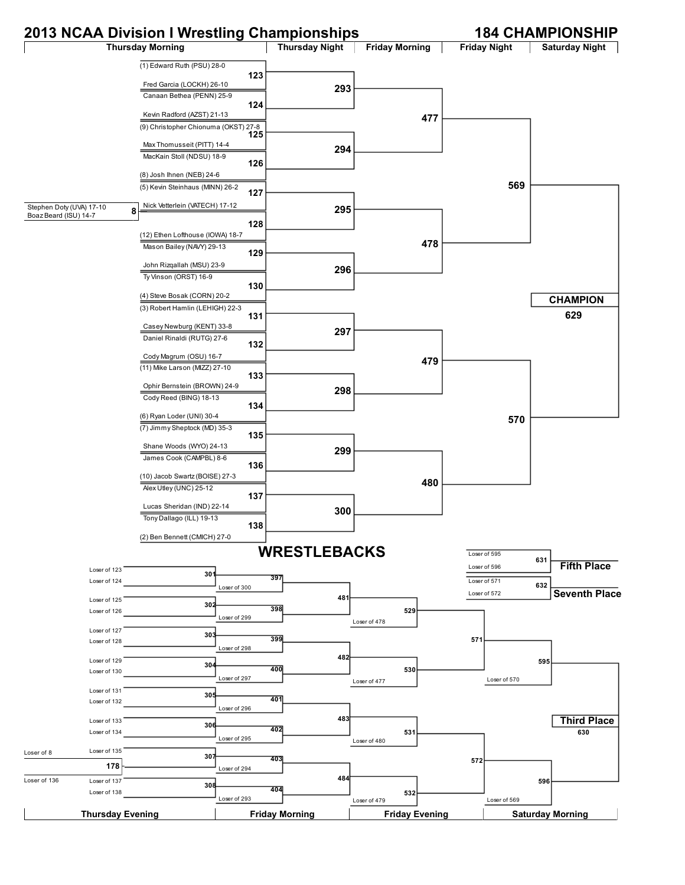## **2013 NCAA Division I Wrestling Championships 184 CHAMPIONSHIP**



Stephen Doty (UVA) 17-10



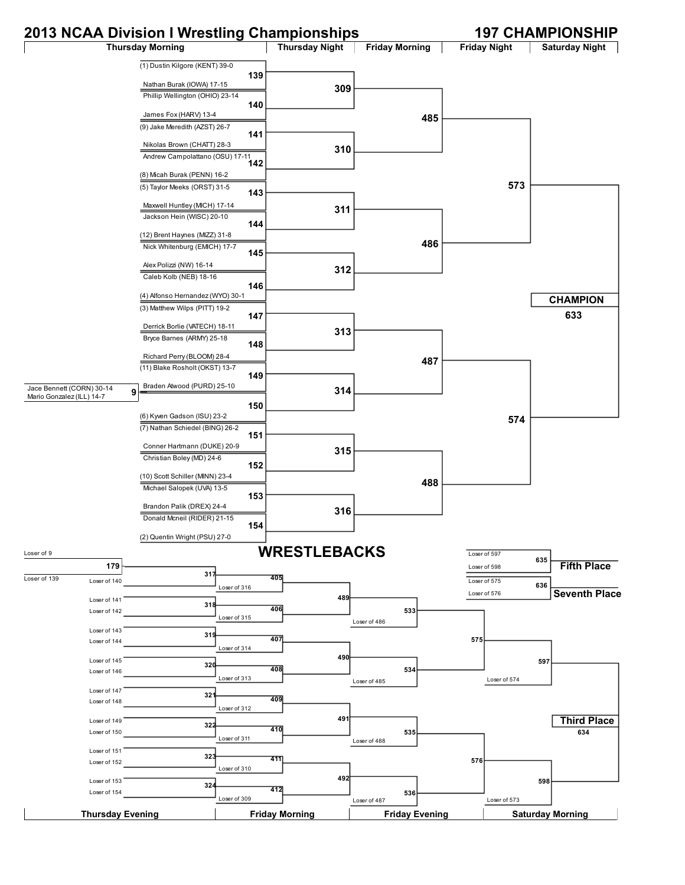## **2013 NCAA Division I Wrestling Championships 197 CHAMPIONSHIP**